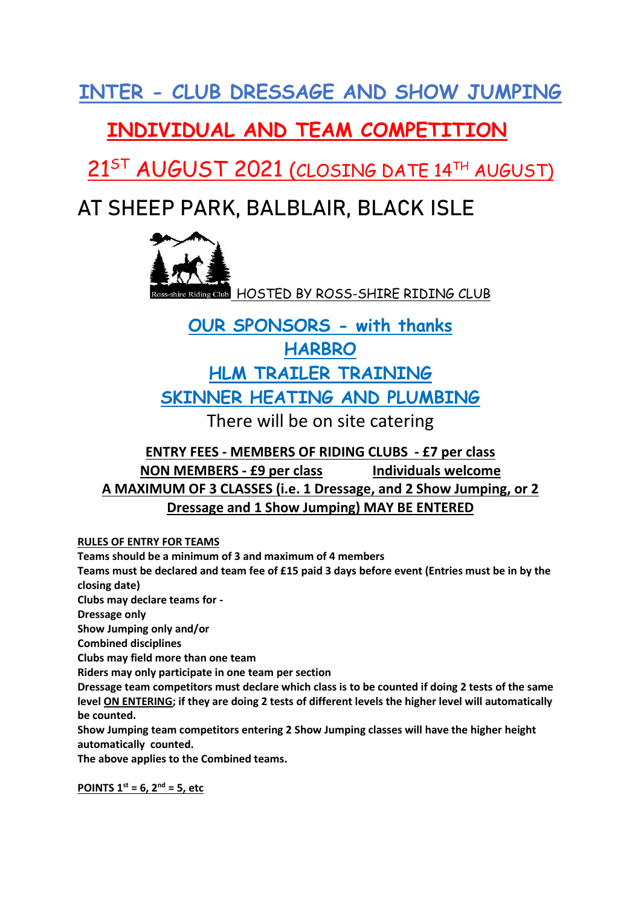**INTER - CLUB DRESSAGE AND SHOW JUMPING**

### **INDIVIDUAL AND TEAM COMPETITION**

 $21^{ST}$  AUGUST 2021 (CLOSING DATE 14TH AUGUST)

# **AT SHEEP PARK, BALBLAIR, BLACK ISLE**



## **OUR SPONSORS - with thanks HARBRO HLM TRAILER TRAINING SKINNER HEATING AND PLUMBING**

There will be on site catering

### **ENTRY FEES - MEMBERS OF RIDING CLUBS - £7 per class NON MEMBERS - £9 per class Individuals welcome A MAXIMUM OF 3 CLASSES (i.e. 1 Dressage, and 2 Show Jumping, or 2 Dressage and 1 Show Jumping) MAY BE ENTERED**

#### **RULES OF ENTRY FOR TEAMS**

**Teams should be a minimum of 3 and maximum of 4 members**

**Teams must be declared and team fee of £15 paid 3 days before event (Entries must be in by the closing date)**

**Clubs may declare teams for -**

**Dressage only** 

**Show Jumping only and/or** 

**Combined disciplines**

**Clubs may field more than one team**

**Riders may only participate in one team per section**

**Dressage team competitors must declare which class is to be counted if doing 2 tests of the same level ON ENTERING; if they are doing 2 tests of different levels the higher level will automatically be counted.**

**Show Jumping team competitors entering 2 Show Jumping classes will have the higher height automatically counted.** 

**The above applies to the Combined teams.**

**POINTS**  $1^{st} = 6$ ,  $2^{nd} = 5$ , etc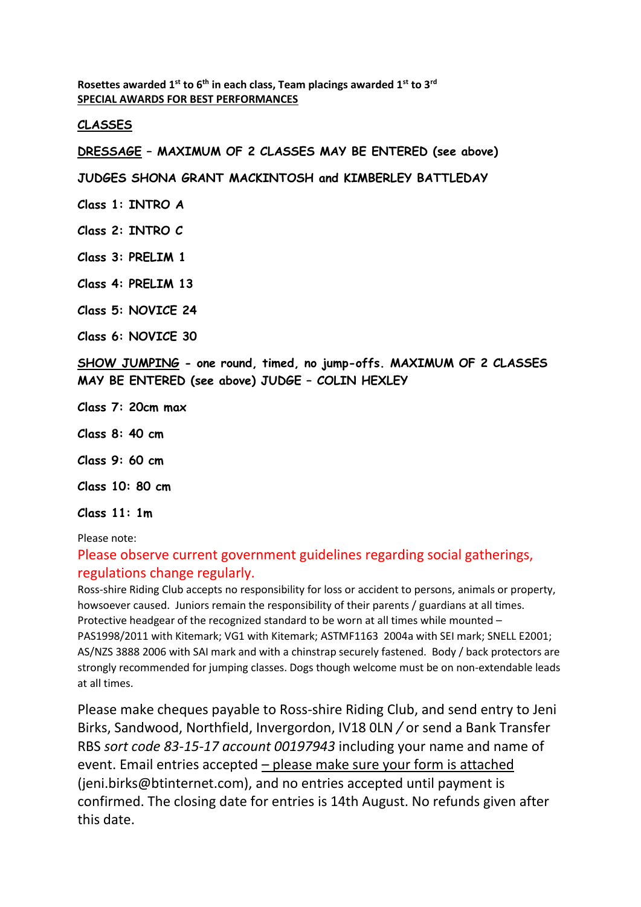**Rosettes awarded 1st to 6th in each class, Team placings awarded 1st to 3rd SPECIAL AWARDS FOR BEST PERFORMANCES**

#### **CLASSES**

**DRESSAGE – MAXIMUM OF 2 CLASSES MAY BE ENTERED (see above)** 

**JUDGES SHONA GRANT MACKINTOSH and KIMBERLEY BATTLEDAY**

**Class 1: INTRO A** 

**Class 2: INTRO C**

**Class 3: PRELIM 1**

**Class 4: PRELIM 13**

**Class 5: NOVICE 24**

**Class 6: NOVICE 30**

**SHOW JUMPING - one round, timed, no jump-offs. MAXIMUM OF 2 CLASSES MAY BE ENTERED (see above) JUDGE – COLIN HEXLEY**

- **Class 7: 20cm max**
- **Class 8: 40 cm**
- **Class 9: 60 cm**
- **Class 10: 80 cm**
- **Class 11: 1m**

Please note:

### Please observe current government guidelines regarding social gatherings, regulations change regularly.

Ross-shire Riding Club accepts no responsibility for loss or accident to persons, animals or property, howsoever caused. Juniors remain the responsibility of their parents / guardians at all times. Protective headgear of the recognized standard to be worn at all times while mounted – PAS1998/2011 with Kitemark; VG1 with Kitemark; ASTMF1163 2004a with SEI mark; SNELL E2001; AS/NZS 3888 2006 with SAI mark and with a chinstrap securely fastened. Body / back protectors are strongly recommended for jumping classes. Dogs though welcome must be on non-extendable leads at all times.

Please make cheques payable to Ross-shire Riding Club, and send entry to Jeni Birks, Sandwood, Northfield, Invergordon, IV18 0LN */* or send a Bank Transfer RBS *sort code 83-15-17 account 00197943* including your name and name of event. Email entries accepted – please make sure your form is attached (jeni.birks@btinternet.com), and no entries accepted until payment is confirmed. The closing date for entries is 14th August. No refunds given after this date.